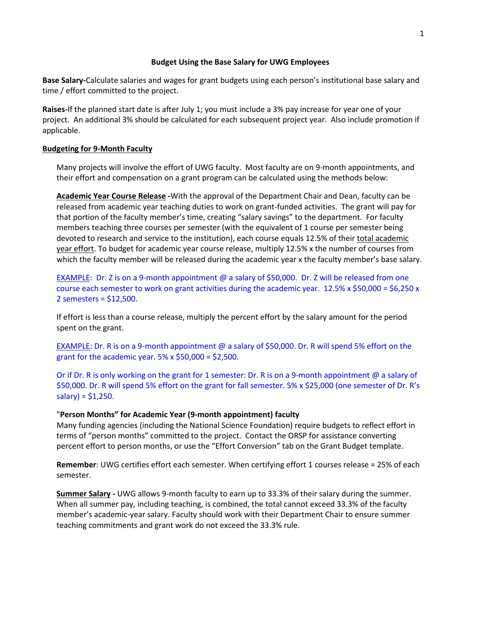# **Budget Using the Base Salary for UWG Employees**

**Base Salary-**Calculate salaries and wages for grant budgets using each person's institutional base salary and time / effort committed to the project.

**Raises-**If the planned start date is after July 1; you must include a 3% pay increase for year one of your project. An additional 3% should be calculated for each subsequent project year. Also include promotion if applicable.

# **Budgeting for 9-Month Faculty**

Many projects will involve the effort of UWG faculty. Most faculty are on 9-month appointments, and their effort and compensation on a grant program can be calculated using the methods below:

**Academic Year Course Release -**With the approval of the Department Chair and Dean, faculty can be released from academic year teaching duties to work on grant-funded activities. The grant will pay for that portion of the faculty member's time, creating "salary savings" to the department. For faculty members teaching three courses per semester (with the equivalent of 1 course per semester being devoted to research and service to the institution), each course equals 12.5% of their total academic year effort. To budget for academic year course release, multiply 12.5% x the number of courses from which the faculty member will be released during the academic year x the faculty member's base salary.

EXAMPLE: Dr. Z is on a 9-month appointment @ a salary of \$50,000. Dr. Z will be released from one course each semester to work on grant activities during the academic year. 12.5% x \$50,000 = \$6,250 x 2 semesters = \$12,500.

If effort is less than a course release, multiply the percent effort by the salary amount for the period spent on the grant.

EXAMPLE: Dr. R is on a 9-month appointment @ a salary of \$50,000. Dr. R will spend 5% effort on the grant for the academic year.  $5\%$  x \$50,000 = \$2,500.

Or if Dr. R is only working on the grant for 1 semester: Dr. R is on a 9-month appointment @ a salary of \$50,000. Dr. R will spend 5% effort on the grant for fall semester. 5% x \$25,000 (one semester of Dr. R's  $salary$ ) = \$1,250.

#### "**Person Months" for Academic Year (9-month appointment) faculty**

Many funding agencies (including the National Science Foundation) require budgets to reflect effort in terms of "person months" committed to the project. Contact the ORSP for assistance converting percent effort to person months, or use the "Effort Conversion" tab on the Grant Budget template.

**Remember**: UWG certifies effort each semester. When certifying effort 1 courses release = 25% of each semester.

**Summer Salary -** UWG allows 9-month faculty to earn up to 33.3% of their salary during the summer. When all summer pay, including teaching, is combined, the total cannot exceed 33.3% of the faculty member's academic-year salary. Faculty should work with their Department Chair to ensure summer teaching commitments and grant work do not exceed the 33.3% rule.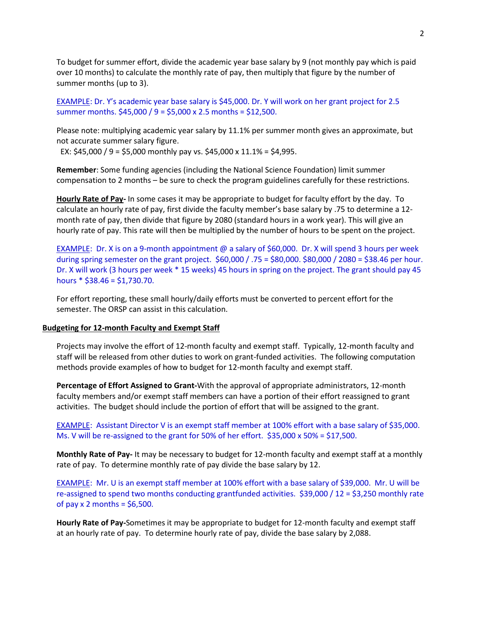To budget for summer effort, divide the academic year base salary by 9 (not monthly pay which is paid over 10 months) to calculate the monthly rate of pay, then multiply that figure by the number of summer months (up to 3).

EXAMPLE: Dr. Y's academic year base salary is \$45,000. Dr. Y will work on her grant project for 2.5 summer months. \$45,000 / 9 = \$5,000 x 2.5 months = \$12,500.

Please note: multiplying academic year salary by 11.1% per summer month gives an approximate, but not accurate summer salary figure.

EX:  $$45,000 / 9 = $5,000$  monthly pay vs.  $$45,000 \times 11.1\% = $4,995$ .

**Remember**: Some funding agencies (including the National Science Foundation) limit summer compensation to 2 months – be sure to check the program guidelines carefully for these restrictions.

**Hourly Rate of Pay-** In some cases it may be appropriate to budget for faculty effort by the day. To calculate an hourly rate of pay, first divide the faculty member's base salary by .75 to determine a 12 month rate of pay, then divide that figure by 2080 (standard hours in a work year). This will give an hourly rate of pay. This rate will then be multiplied by the number of hours to be spent on the project.

EXAMPLE: Dr. X is on a 9-month appointment @ a salary of \$60,000. Dr. X will spend 3 hours per week during spring semester on the grant project. \$60,000 / .75 = \$80,000. \$80,000 / 2080 = \$38.46 per hour. Dr. X will work (3 hours per week \* 15 weeks) 45 hours in spring on the project. The grant should pay 45 hours  $*$  \$38.46 = \$1,730.70.

For effort reporting, these small hourly/daily efforts must be converted to percent effort for the semester. The ORSP can assist in this calculation.

#### **Budgeting for 12-month Faculty and Exempt Staff**

Projects may involve the effort of 12-month faculty and exempt staff. Typically, 12-month faculty and staff will be released from other duties to work on grant-funded activities. The following computation methods provide examples of how to budget for 12-month faculty and exempt staff.

**Percentage of Effort Assigned to Grant-**With the approval of appropriate administrators, 12-month faculty members and/or exempt staff members can have a portion of their effort reassigned to grant activities. The budget should include the portion of effort that will be assigned to the grant.

EXAMPLE: Assistant Director V is an exempt staff member at 100% effort with a base salary of \$35,000. Ms. V will be re-assigned to the grant for 50% of her effort. \$35,000 x 50% = \$17,500.

**Monthly Rate of Pay-** It may be necessary to budget for 12-month faculty and exempt staff at a monthly rate of pay. To determine monthly rate of pay divide the base salary by 12.

EXAMPLE: Mr. U is an exempt staff member at 100% effort with a base salary of \$39,000. Mr. U will be re-assigned to spend two months conducting grantfunded activities. \$39,000 / 12 = \$3,250 monthly rate of pay  $x$  2 months = \$6,500.

**Hourly Rate of Pay-**Sometimes it may be appropriate to budget for 12-month faculty and exempt staff at an hourly rate of pay. To determine hourly rate of pay, divide the base salary by 2,088.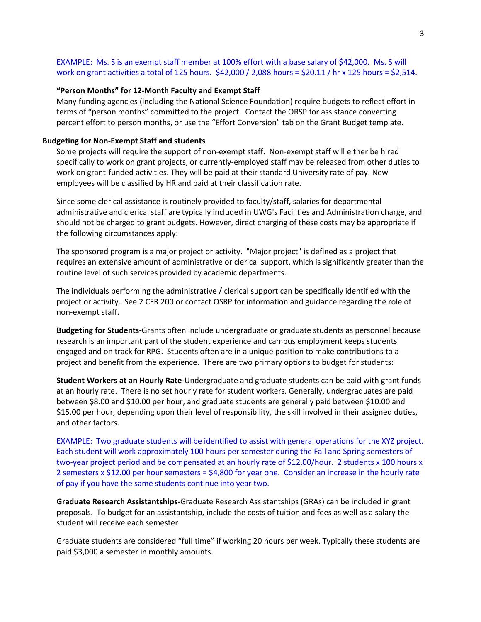EXAMPLE: Ms. S is an exempt staff member at 100% effort with a base salary of \$42,000. Ms. S will work on grant activities a total of 125 hours. \$42,000 / 2,088 hours = \$20.11 / hr x 125 hours = \$2,514.

### **"Person Months" for 12-Month Faculty and Exempt Staff**

Many funding agencies (including the National Science Foundation) require budgets to reflect effort in terms of "person months" committed to the project. Contact the ORSP for assistance converting percent effort to person months, or use the "Effort Conversion" tab on the Grant Budget template.

#### **Budgeting for Non-Exempt Staff and students**

Some projects will require the support of non-exempt staff. Non-exempt staff will either be hired specifically to work on grant projects, or currently-employed staff may be released from other duties to work on grant-funded activities. They will be paid at their standard University rate of pay. New employees will be classified by HR and paid at their classification rate.

Since some clerical assistance is routinely provided to faculty/staff, salaries for departmental administrative and clerical staff are typically included in UWG's Facilities and Administration charge, and should not be charged to grant budgets. However, direct charging of these costs may be appropriate if the following circumstances apply:

The sponsored program is a major project or activity. "Major project" is defined as a project that requires an extensive amount of administrative or clerical support, which is significantly greater than the routine level of such services provided by academic departments.

The individuals performing the administrative / clerical support can be specifically identified with the project or activity. See 2 CFR 200 or contact OSRP for information and guidance regarding the role of non-exempt staff.

**Budgeting for Students-**Grants often include undergraduate or graduate students as personnel because research is an important part of the student experience and campus employment keeps students engaged and on track for RPG. Students often are in a unique position to make contributions to a project and benefit from the experience. There are two primary options to budget for students:

**Student Workers at an Hourly Rate-**Undergraduate and graduate students can be paid with grant funds at an hourly rate. There is no set hourly rate for student workers. Generally, undergraduates are paid between \$8.00 and \$10.00 per hour, and graduate students are generally paid between \$10.00 and \$15.00 per hour, depending upon their level of responsibility, the skill involved in their assigned duties, and other factors.

EXAMPLE: Two graduate students will be identified to assist with general operations for the XYZ project. Each student will work approximately 100 hours per semester during the Fall and Spring semesters of two-year project period and be compensated at an hourly rate of \$12.00/hour. 2 students x 100 hours x 2 semesters x \$12.00 per hour semesters = \$4,800 for year one. Consider an increase in the hourly rate of pay if you have the same students continue into year two.

**Graduate Research Assistantships-**Graduate Research Assistantships (GRAs) can be included in grant proposals. To budget for an assistantship, include the costs of tuition and fees as well as a salary the student will receive each semester

Graduate students are considered "full time" if working 20 hours per week. Typically these students are paid \$3,000 a semester in monthly amounts.